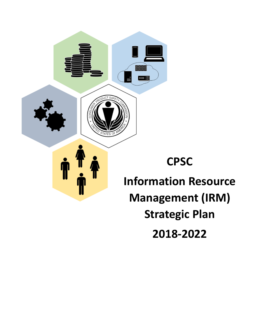

**2018-2022**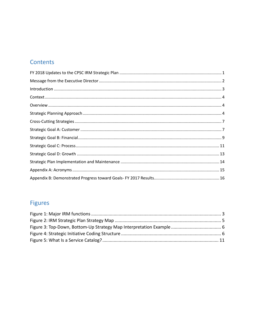# Contents

# Figures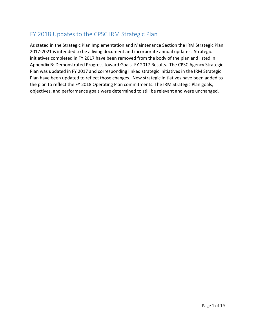# <span id="page-2-0"></span>FY 2018 Updates to the CPSC IRM Strategic Plan

As stated in the Strategic Plan Implementation and Maintenance Section the IRM Strategic Plan 2017-2021 is intended to be a living document and incorporate annual updates. Strategic initiatives completed in FY 2017 have been removed from the body of the plan and listed in Appendix B: Demonstrated Progress toward Goals- FY 2017 Results. The CPSC Agency Strategic Plan was updated in FY 2017 and corresponding linked strategic initiatives in the IRM Strategic Plan have been updated to reflect those changes. New strategic initiatives have been added to the plan to reflect the FY 2018 Operating Plan commitments. The IRM Strategic Plan goals, objectives, and performance goals were determined to still be relevant and were unchanged.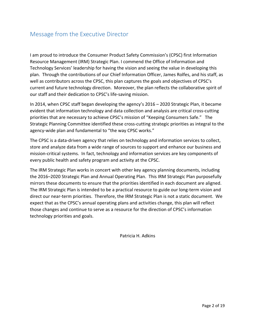### <span id="page-3-0"></span>Message from the Executive Director

I am proud to introduce the Consumer Product Safety Commission's (CPSC) first Information Resource Management (IRM) Strategic Plan. I commend the Office of Information and Technology Services' leadership for having the vision and seeing the value in developing this plan. Through the contributions of our Chief Information Officer, James Rolfes, and his staff, as well as contributors across the CPSC, this plan captures the goals and objectives of CPSC's current and future technology direction. Moreover, the plan reflects the collaborative spirit of our staff and their dedication to CPSC's life-saving mission.

In 2014, when CPSC staff began developing the agency's 2016 – 2020 Strategic Plan, it became evident that information technology and data collection and analysis are critical cross-cutting priorities that are necessary to achieve CPSC's mission of "Keeping Consumers Safe." The Strategic Planning Committee identified these cross-cutting strategic priorities as integral to the agency-wide plan and fundamental to "the way CPSC works."

The CPSC is a data-driven agency that relies on technology and information services to collect, store and analyze data from a wide range of sources to support and enhance our business and mission-critical systems. In fact, technology and information services are key components of every public health and safety program and activity at the CPSC.

The IRM Strategic Plan works in concert with other key agency planning documents, including the 2016–2020 Strategic Plan and Annual Operating Plan. This IRM Strategic Plan purposefully mirrors these documents to ensure that the priorities identified in each document are aligned. The IRM Strategic Plan is intended to be a practical resource to guide our long-term vision and direct our near-term priorities. Therefore, the IRM Strategic Plan is not a static document. We expect that as the CPSC's annual operating plans and activities change, this plan will reflect those changes and continue to serve as a resource for the direction of CPSC's information technology priorities and goals.

Patricia H. Adkins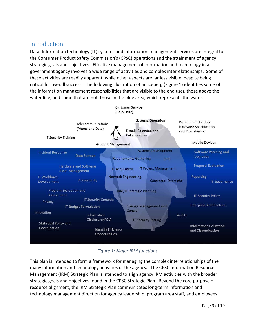### <span id="page-4-0"></span>Introduction

Data, Information technology (IT) systems and information management services are integral to the Consumer Product Safety Commission's (CPSC) operations and the attainment of agency strategic goals and objectives. Effective management of information and technology in a government agency involves a wide range of activities and complex interrelationships. Some of these activities are readily apparent, while other aspects are far less visible, despite being critical for overall success. The following illustration of an iceberg (Figure 1) identifies some of the information management responsibilities that are visible to the end user, those above the water line, and some that are not, those in the blue area, which represents the water.



### *Figure 1: Major IRM functions*

<span id="page-4-1"></span>This plan is intended to form a framework for managing the complex interrelationships of the many information and technology activities of the agency. The CPSC Information Resource Management (IRM) Strategic Plan is intended to align agency IRM activities with the broader strategic goals and objectives found in the CPSC Strategic Plan. Beyond the core purpose of resource alignment, the IRM Strategic Plan communicates long-term information and technology management direction for agency leadership, program area staff, and employees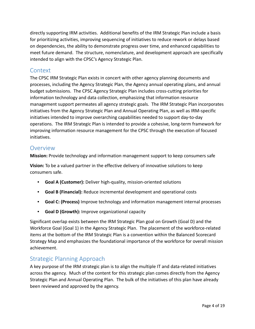directly supporting IRM activities. Additional benefits of the IRM Strategic Plan include a basis for prioritizing activities, improving sequencing of initiatives to reduce rework or delays based on dependencies, the ability to demonstrate progress over time, and enhanced capabilities to meet future demand. The structure, nomenclature, and development approach are specifically intended to align with the CPSC's Agency Strategic Plan.

### <span id="page-5-0"></span>Context

The CPSC IRM Strategic Plan exists in concert with other agency planning documents and processes, including the Agency Strategic Plan, the Agency annual operating plans, and annual budget submissions. The CPSC Agency Strategic Plan includes cross-cutting priorities for information technology and data collection, emphasizing that information resource management support permeates all agency strategic goals. The IRM Strategic Plan incorporates initiatives from the Agency Strategic Plan and Annual Operating Plan, as well as IRM-specific initiatives intended to improve overarching capabilities needed to support day-to-day operations. The IRM Strategic Plan is intended to provide a cohesive, long-term framework for improving information resource management for the CPSC through the execution of focused initiatives.

### <span id="page-5-1"></span>**Overview**

**Mission:** Provide technology and information management support to keep consumers safe

**Vision:** To be a valued partner in the effective delivery of innovative solutions to keep consumers safe.

- **Goal A (Customer):** Deliver high-quality, mission-oriented solutions
- **Goal B (Financial):** Reduce incremental development and operational costs
- **Goal C: (Process)** Improve technology and information management internal processes
- **Goal D (Growth):** Improve organizational capacity

Significant overlap exists between the IRM Strategic Plan goal on Growth (Goal D) and the Workforce Goal (Goal 1) in the Agency Strategic Plan. The placement of the workforce-related items at the bottom of the IRM Strategic Plan is a convention within the Balanced Scorecard Strategy Map and emphasizes the foundational importance of the workforce for overall mission achievement.

### <span id="page-5-2"></span>Strategic Planning Approach

A key purpose of the IRM strategic plan is to align the multiple IT and data-related initiatives across the agency. Much of the content for this strategic plan comes directly from the Agency Strategic Plan and Annual Operating Plan. The bulk of the initiatives of this plan have already been reviewed and approved by the agency.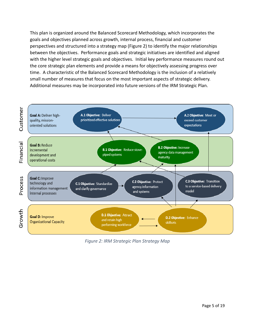This plan is organized around the Balanced Scorecard Methodology, which incorporates the goals and objectives planned across growth, internal process, financial and customer perspectives and structured into a strategy map (Figure 2) to identify the major relationships between the objectives. Performance goals and strategic initiatives are identified and aligned with the higher level strategic goals and objectives. Initial key performance measures round out the core strategic plan elements and provide a means for objectively assessing progress over time. A characteristic of the Balanced Scorecard Methodology is the inclusion of a relatively small number of measures that focus on the most important aspects of strategic delivery. Additional measures may be incorporated into future versions of the IRM Strategic Plan.



<span id="page-6-0"></span>*Figure 2: IRM Strategic Plan Strategy Map*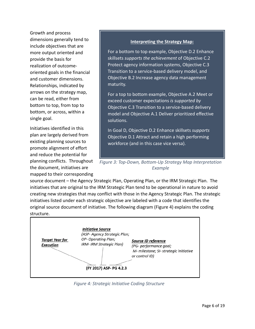Growth and process dimensions generally tend to include objectives that are more output oriented and provide the basis for realization of outcomeoriented goals in the financial and customer dimensions. Relationships, indicated by arrows on the strategy map, can be read, either from bottom to top, from top to bottom, or across, within a single goal.

Initiatives identified in this plan are largely derived from existing planning sources to promote alignment of effort and reduce the potential for planning conflicts. Throughout the document, initiatives are mapped to their corresponding

#### **Interpreting the Strategy Map:**

For a bottom to top example, Objective D.2 Enhance skillsets *supports the achievement* of Objective C.2 Protect agency information systems, Objective C.3 Transition to a service-based delivery model, and Objective B.2 Increase agency data management maturity.

For a top to bottom example, Objective A.2 Meet or exceed customer expectations *is supported by*  Objective C.3 Transition to a service-based delivery model and Objective A.1 Deliver prioritized effective solutions.

In Goal D, Objective D.2 Enhance skillsets *supports*  Objective D.1 Attract and retain a high performing workforce (and in this case vice versa).

*Figure 3: Top-Down, Bottom-Up Strategy Map Interpretation Example*

source document – the Agency Strategic Plan, Operating Plan, or the IRM Strategic Plan. The initiatives that are original to the IRM Strategic Plan tend to be operational in nature to avoid creating new strategies that may conflict with those in the Agency Strategic Plan. The strategic initiatives listed under each strategic objective are labeled with a code that identifies the original source document of initiative. The following diagram (Figure 4) explains the coding structure.



*Figure 4: Strategic Initiative Coding Structure*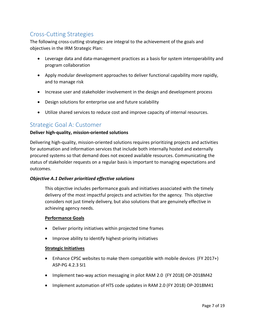# <span id="page-8-0"></span>Cross-Cutting Strategies

The following cross-cutting strategies are integral to the achievement of the goals and objectives in the IRM Strategic Plan:

- Leverage data and data-management practices as a basis for system interoperability and program collaboration
- Apply modular development approaches to deliver functional capability more rapidly, and to manage risk
- Increase user and stakeholder involvement in the design and development process
- Design solutions for enterprise use and future scalability
- Utilize shared services to reduce cost and improve capacity of internal resources.

### <span id="page-8-1"></span>Strategic Goal A: Customer

#### **Deliver high-quality, mission-oriented solutions**

Delivering high-quality, mission-oriented solutions requires prioritizing projects and activities for automation and information services that include both internally hosted and externally procured systems so that demand does not exceed available resources. Communicating the status of stakeholder requests on a regular basis is important to managing expectations and outcomes.

#### *Objective A.1 Deliver prioritized effective solutions*

This objective includes performance goals and initiatives associated with the timely delivery of the most impactful projects and activities for the agency. This objective considers not just timely delivery, but also solutions that are genuinely effective in achieving agency needs.

#### **Performance Goals**

- Deliver priority initiatives within projected time frames
- Improve ability to identify highest-priority initiatives

- Enhance CPSC websites to make them compatible with mobile devices (FY 2017+) ASP-PG 4.2.3 SI1
- Implement two-way action messaging in pilot RAM 2.0 (FY 2018) OP-2018M42
- Implement automation of HTS code updates in RAM 2.0 (FY 2018) OP-2018M41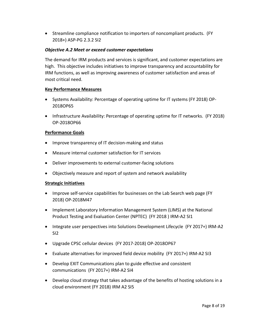• Streamline compliance notification to importers of noncompliant products. (FY 2018+) ASP-PG 2.3.2 SI2

#### *Objective A.2 Meet or exceed customer expectations*

The demand for IRM products and services is significant, and customer expectations are high. This objective includes initiatives to improve transparency and accountability for IRM functions, as well as improving awareness of customer satisfaction and areas of most critical need.

#### **Key Performance Measures**

- Systems Availability: Percentage of operating uptime for IT systems (FY 2018) OP-2018OP65
- Infrastructure Availability: Percentage of operating uptime for IT networks. (FY 2018) OP-2018OP66

#### **Performance Goals**

- Improve transparency of IT decision-making and status
- Measure internal customer satisfaction for IT services
- Deliver improvements to external customer-facing solutions
- Objectively measure and report of system and network availability

- Improve self-service capabilities for businesses on the Lab Search web page (FY 2018) OP-2018M47
- Implement Laboratory Information Management System (LIMS) at the National Product Testing and Evaluation Center (NPTEC) (FY 2018 ) IRM-A2 SI1
- Integrate user perspectives into Solutions Development Lifecycle (FY 2017+) IRM-A2 SI2
- Upgrade CPSC cellular devices (FY 2017-2018) OP-2018OP67
- Evaluate alternatives for improved field device mobility (FY 2017+) IRM-A2 SI3
- Develop EXIT Communications plan to guide effective and consistent communications (FY 2017+) IRM-A2 SI4
- Develop cloud strategy that takes advantage of the benefits of hosting solutions in a cloud environment (FY 2018) IRM A2 SI5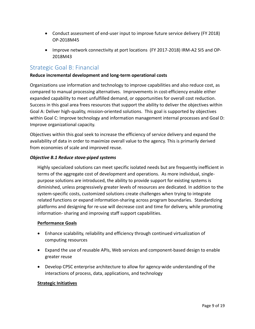- Conduct assessment of end-user input to improve future service delivery (FY 2018) OP-2018M45
- Improve network connectivity at port locations (FY 2017-2018) IRM-A2 SI5 and OP-2018M43

### <span id="page-10-0"></span>Strategic Goal B: Financial

#### **Reduce incremental development and long-term operational costs**

Organizations use information and technology to improve capabilities and also reduce cost, as compared to manual processing alternatives. Improvements in cost-efficiency enable either expanded capability to meet unfulfilled demand, or opportunities for overall cost reduction. Success in this goal area frees resources that support the ability to deliver the objectives within Goal A: Deliver high-quality, mission-oriented solutions. This goal is supported by objectives within Goal C: Improve technology and information management internal processes and Goal D: Improve organizational capacity.

Objectives within this goal seek to increase the efficiency of service delivery and expand the availability of data in order to maximize overall value to the agency. This is primarily derived from economies of scale and improved reuse.

#### *Objective B.1 Reduce stove-piped systems*

Highly specialized solutions can meet specific isolated needs but are frequently inefficient in terms of the aggregate cost of development and operations. As more individual, singlepurpose solutions are introduced, the ability to provide support for existing systems is diminished, unless progressively greater levels of resources are dedicated. In addition to the system-specific costs, customized solutions create challenges when trying to integrate related functions or expand information-sharing across program boundaries. Standardizing platforms and designing for re-use will decrease cost and time for delivery, while promoting information- sharing and improving staff support capabilities.

#### **Performance Goals**

- Enhance scalability, reliability and efficiency through continued virtualization of computing resources
- Expand the use of reusable APIs, Web services and component-based design to enable greater reuse
- Develop CPSC enterprise architecture to allow for agency-wide understanding of the interactions of process, data, applications, and technology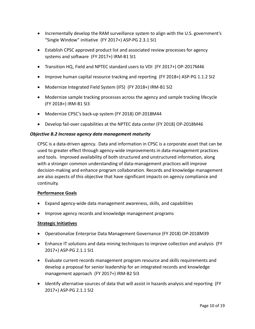- Incrementally develop the RAM surveillance system to align with the U.S. government's "Single Window" initiative (FY 2017+) ASP-PG 2.3.1 SI1
- Establish CPSC approved product list and associated review processes for agency systems and software (FY 2017+) IRM-B1 SI1
- Transition HQ, Field and NPTEC standard users to VDI (FY 2017+) OP-2017M46
- Improve human capital resource tracking and reporting (FY 2018+) ASP-PG 1.1.2 SI2
- Modernize Integrated Field System (IFS) (FY 2018+) IRM-B1 SI2
- Modernize sample tracking processes across the agency and sample tracking lifecycle (FY 2018+) IRM-B1 SI3
- Modernize CPSC's back-up system (FY 2018) OP-2018M44
- Develop fail-over capabilities at the NPTEC data center (FY 2018) OP-2018M46

#### *Objective B.2 Increase agency data management maturity*

CPSC is a data-driven agency. Data and information in CPSC is a corporate asset that can be used to greater effect through agency-wide improvements in data-management practices and tools. Improved availability of both structured and unstructured information, along with a stronger common understanding of data-management practices will improve decision-making and enhance program collaboration. Records and knowledge management are also aspects of this objective that have significant impacts on agency compliance and continuity.

#### **Performance Goals**

- Expand agency-wide data management awareness, skills, and capabilities
- Improve agency records and knowledge management programs

- Operationalize Enterprise Data Management Governance (FY 2018) OP-2018M39
- Enhance IT solutions and data mining techniques to improve collection and analysis (FY 2017+) ASP-PG 2.1.1 SI1
- Evaluate current records management program resource and skills requirements and develop a proposal for senior leadership for an integrated records and knowledge management approach (FY 2017+) IRM-B2 SI3
- Identify alternative sources of data that will assist in hazards analysis and reporting (FY 2017+) ASP-PG 2.1.1 SI2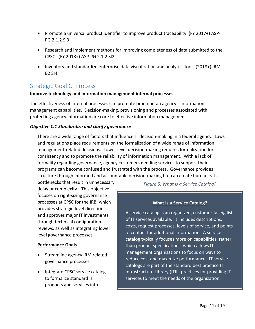- Promote a universal product identifier to improve product traceability (FY 2017+) ASP-PG 2.1.2 SI3
- Research and implement methods for improving completeness of data submitted to the CPSC (FY 2018+) ASP-PG 2.1.2 SI2
- Inventory and standardize enterprise data visualization and analytics tools (2018+) IRM B2 SI4

# <span id="page-12-0"></span>Strategic Goal C: Process

#### **Improve technology and information management internal processes**

The effectiveness of internal processes can promote or inhibit an agency's information management capabilities. Decision-making, provisioning and processes associated with protecting agency information are core to effective information management.

#### *Objective C.1 Standardize and clarify governance*

There are a wide range of factors that influence IT decision-making in a federal agency. Laws and regulations place requirements on the formalization of a wide range of information management-related decisions. Lower level decision-making requires formalization for consistency and to promote the reliability of information management. With a lack of formality regarding governance, agency customers needing services to support their programs can become confused and frustrated with the process. Governance provides structure through informed and accountable decision-making but can create bureaucratic

bottlenecks that result in unnecessary delay or complexity. This objective focuses on right-sizing governance processes at CPSC for the IRB, which provides strategic-level direction and approves major IT investments through technical configuration reviews, as well as integrating lower level governance processes.

#### **Performance Goals**

- Streamline agency IRM related governance processes
- Integrate CPSC service catalog to formalize standard IT products and services into

*Figure 5: What Is a Service Catalog?*

#### **What Is a Service Catalog?**

A service catalog is an organized, customer-facing list of IT services available. It includes descriptions, costs, request processes, levels of service, and points of contact for additional information. A service catalog typically focuses more on capabilities, rather than product specifications, which allows IT management organizations to focus on ways to reduce cost and maximize performance. IT service catalogs are part of the standard best practice IT Infrastructure Library (ITIL) practices for providing IT services to meet the needs of the organization.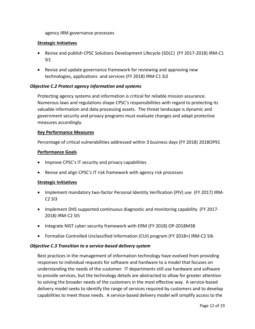agency IRM governance processes

#### **Strategic Initiatives**

- Revise and publish CPSC Solutions Development Lifecycle (SDLC) (FY 2017-2018) IRM-C1 SI1
- Revise and update governance framework for reviewing and approving new technologies, applications and services (FY 2018) IRM-C1 SI2

#### *Objective C.2 Protect agency information and systems*

Protecting agency systems and information is critical for reliable mission assurance. Numerous laws and regulations shape CPSC's responsibilities with regard to protecting its valuable information and data processing assets. The threat landscape is dynamic and government security and privacy programs must evaluate changes and adapt protective measures accordingly.

#### **Key Performance Measures**

Percentage of critical vulnerabilities addressed within 3 business days (FY 2018) 2018OP91

#### **Performance Goals**

- Improve CPSC's IT security and privacy capabilities
- Revise and align CPSC's IT risk framework with agency risk processes

#### **Strategic Initiatives**

- Implement mandatory two-factor Personal Identity Verification (PIV) use (FY 2017) IRM-C2 SI3
- Implement DHS supported continuous diagnostic and monitoring capability (FY 2017- 2018) IRM-C2 SI5
- Integrate NIST cyber security framework with ERM (FY 2018) OP-2018M38
- Formalize Controlled Unclassified Information (CUI) program (FY 2018+) IRM-C2 SI6

#### *Objective C.3 Transition to a service-based delivery system*

Best practices in the management of information technology have evolved from providing responses to individual requests for software and hardware to a model that focuses on understanding the needs of the customer. IT departments still use hardware and software to provide services, but the technology details are abstracted to allow for greater attention to solving the broader needs of the customers in the most effective way. A service-based delivery model seeks to identify the range of services required by customers and to develop capabilities to meet those needs. A service-based delivery model will simplify access to the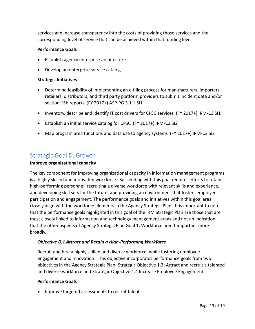services and increase transparency into the costs of providing those services and the corresponding level of service that can be achieved within that funding level.

#### **Performance Goals**

- Establish agency enterprise architecture
- Develop an enterprise service catalog

#### **Strategic Initiatives**

- Determine feasibility of implementing an e-filing process for manufacturers, importers, retailers, distributors, and third party platform providers to submit incident data and/or section 15b reports (FY 2017+) ASP-PG 3.1.1 SI1
- Inventory, describe and identify IT cost drivers for CPSC services (FY 2017+) IRM-C3 SI1
- Establish an initial service catalog for CPSC (FY 2017+) IRM-C3 SI2
- Map program area functions and data use to agency systems (FY 2017+) IRM-C3 SI3

### <span id="page-14-0"></span>Strategic Goal D: Growth

#### **Improve organizational capacity**

The key component for improving organizational capacity in information management programs is a highly skilled and motivated workforce. Succeeding with this goal requires efforts to retain high-performing personnel, recruiting a diverse workforce with relevant skills and experience, and developing skill sets for the future, and providing an environment that fosters employee participation and engagement. The performance goals and initiatives within this goal area closely align with the workforce elements in the Agency Strategic Plan. It is important to note that the performance goals highlighted in this goal of the IRM Strategic Plan are those that are most closely linked to information and technology management areas and not an indication that the other aspects of Agency Strategic Plan Goal 1: Workforce aren't important more broadly.

#### *Objective D.1 Attract and Retain a High-Performing Workforce*

Recruit and hire a highly skilled and diverse workforce, while fostering employee engagement and innovation. This objective incorporates performance goals from two objectives in the Agency Strategic Plan- Strategic Objective 1.3: Attract and recruit a talented and diverse workforce and Strategic Objective 1.4 Increase Employee Engagement.

#### **Performance Goals**

• Improve targeted assessments to recruit talent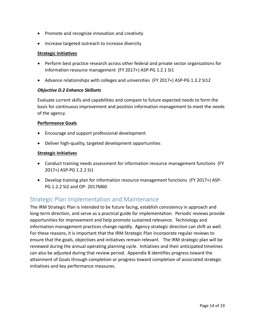- Promote and recognize innovation and creativity
- Increase targeted outreach to increase diversity

#### **Strategic Initiatives**

- Perform best practice research across other federal and private sector organizations for information resource management (FY 2017+) ASP-PG 1.2.1 SI1
- Advance relationships with colleges and universities (FY 2017+) ASP-PG 1.3.2 SI12

#### *Objective D.2 Enhance Skillsets*

Evaluate current skills and capabilities and compare to future expected needs to form the basis for continuous improvement and position information management to meet the needs of the agency.

#### **Performance Goals**

- Encourage and support professional development
- Deliver high-quality, targeted development opportunities

#### **Strategic Initiatives**

- Conduct training needs assessment for information resource management functions (FY 2017+) ASP-PG 1.2.2 SI1
- Develop training plan for information resource management functions (FY 2017+) ASP-PG 1.2.2 SI2 and OP- 2017M60

### <span id="page-15-0"></span>Strategic Plan Implementation and Maintenance

The IRM Strategic Plan is intended to be future facing, establish consistency in approach and long-term direction, and serve as a practical guide for implementation. Periodic reviews provide opportunities for improvement and help promote sustained relevance. Technology and information management practices change rapidly. Agency strategic direction can shift as well. For these reasons, it is important that the IRM Strategic Plan incorporate regular reviews to ensure that the goals, objectives and initiatives remain relevant. The IRM strategic plan will be reviewed during the annual operating planning cycle. Initiatives and their anticipated timelines can also be adjusted during that review period. Appendix B identifies progress toward the attainment of Goals through completion or progress toward completion of associated strategic initiatives and key performance measures.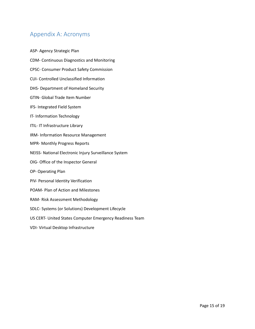## <span id="page-16-0"></span>Appendix A: Acronyms

ASP- Agency Strategic Plan CDM- Continuous Diagnostics and Monitoring CPSC- Consumer Product Safety Commission CUI- Controlled Unclassified Information DHS- Department of Homeland Security GTIN- Global Trade Item Number IFS- Integrated Field System IT- Information Technology ITIL- IT Infrastructure Library IRM- Information Resource Management MPR- Monthly Progress Reports NEISS- National Electronic Injury Surveillance System OIG- Office of the Inspector General OP- Operating Plan PIV- Personal Identity Verification POAM- Plan of Action and Milestones RAM- Risk Assessment Methodology SDLC- Systems (or Solutions) Development Lifecycle US CERT- United States Computer Emergency Readiness Team VDI- Virtual Desktop Infrastructure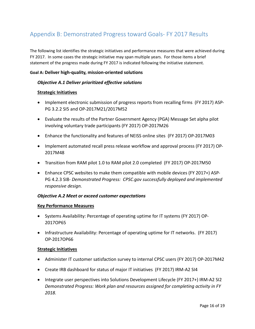# <span id="page-17-0"></span>Appendix B: Demonstrated Progress toward Goals- FY 2017 Results

The following list identifies the strategic initiatives and performance measures that were achieved during FY 2017. In some cases the strategic initiative may span multiple years. For those items a brief statement of the progress made during FY 2017 is indicated following the initiative statement.

#### **Goal A: Deliver high-quality, mission-oriented solutions**

#### *Objective A.1 Deliver prioritized effective solutions*

#### **Strategic Initiatives**

- Implement electronic submission of progress reports from recalling firms (FY 2017) ASP-PG 3.2.2 SI5 and OP-2017M21/2017M52
- Evaluate the results of the Partner Government Agency (PGA) Message Set alpha pilot involving voluntary trade participants (FY 2017) OP-2017M26
- Enhance the functionality and features of NEISS online sites (FY 2017) OP-2017M03
- Implement automated recall press release workflow and approval process (FY 2017) OP-2017M48
- Transition from RAM pilot 1.0 to RAM pilot 2.0 completed (FY 2017) OP-2017M50
- Enhance CPSC websites to make them compatible with mobile devices (FY 2017+) ASP-PG 4.2.3 SI8- *Demonstrated Progress: CPSC.gov successfully deployed and implemented responsive design.*

#### *Objective A.2 Meet or exceed customer expectations*

#### **Key Performance Measures**

- Systems Availability: Percentage of operating uptime for IT systems (FY 2017) OP-2017OP65
- Infrastructure Availability: Percentage of operating uptime for IT networks. (FY 2017) OP-2017OP66

- Administer IT customer satisfaction survey to internal CPSC users (FY 2017) OP-2017M42
- Create IRB dashboard for status of major IT initiatives (FY 2017) IRM-A2 SI4
- Integrate user perspectives into Solutions Development Lifecycle (FY 2017+) IRM-A2 SI2 *Demonstrated Progress: Work plan and resources assigned for completing activity in FY 2018.*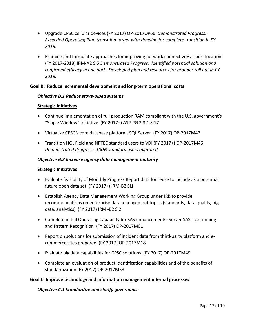- Upgrade CPSC cellular devices (FY 2017) OP-2017OP66 *Demonstrated Progress: Exceeded Operating Plan transition target with timeline for complete transition in FY 2018.*
- Examine and formulate approaches for improving network connectivity at port locations (FY 2017-2018) IRM-A2 SI5 *Demonstrated Progress: Identified potential solution and confirmed efficacy in one port. Developed plan and resources for broader roll out in FY 2018.*

#### **Goal B: Reduce incremental development and long-term operational costs**

#### *Objective B.1 Reduce stove-piped systems*

#### **Strategic Initiatives**

- Continue implementation of full production RAM compliant with the U.S. government's "Single Window" initiative (FY 2017+) ASP-PG 2.3.1 SI17
- Virtualize CPSC's core database platform, SQL Server (FY 2017) OP-2017M47
- Transition HQ, Field and NPTEC standard users to VDI (FY 2017+) OP-2017M46 *Demonstrated Progress: 100% standard users migrated.*

#### *Objective B.2 Increase agency data management maturity*

#### **Strategic Initiatives**

- Evaluate feasibility of Monthly Progress Report data for reuse to include as a potential future open data set (FY 2017+) IRM-B2 SI1
- Establish Agency Data Management Working Group under IRB to provide recommendations on enterprise data management topics (standards, data quality, big data, analytics) (FY 2017) IRM -B2 SI2
- Complete initial Operating Capability for SAS enhancements- Server SAS, Text mining and Pattern Recognition (FY 2017) OP-2017M01
- Report on solutions for submission of incident data from third-party platform and ecommerce sites prepared (FY 2017) OP-2017M18
- Evaluate big data capabilities for CPSC solutions (FY 2017) OP-2017M49
- Complete an evaluation of product identification capabilities and of the benefits of standardization (FY 2017) OP-2017M53

#### **Goal C: Improve technology and information management internal processes**

*Objective C.1 Standardize and clarify governance*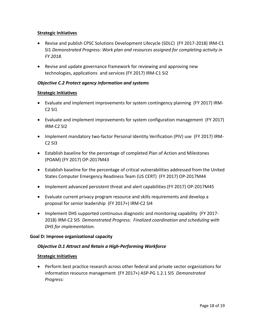#### **Strategic Initiatives**

- Revise and publish CPSC Solutions Development Lifecycle (SDLC) (FY 2017-2018) IRM-C1 SI1 *Demonstrated Progress: Work plan and resources assigned for completing activity in FY 2018.*
- Revise and update governance framework for reviewing and approving new technologies, applications and services (FY 2017) IRM-C1 SI2

#### *Objective C.2 Protect agency information and systems*

#### **Strategic Initiatives**

- Evaluate and implement improvements for system contingency planning (FY 2017) IRM-C2 SI1
- Evaluate and implement improvements for system configuration management (FY 2017) IRM-C2 SI2
- Implement mandatory two-factor Personal Identity Verification (PIV) use (FY 2017) IRM-C2 SI3
- Establish baseline for the percentage of completed Plan of Action and Milestones (POAM) (FY 2017) OP-2017M43
- Establish baseline for the percentage of critical vulnerabilities addressed from the United States Computer Emergency Readiness Team (US CERT) (FY 2017) OP-2017M44
- Implement advanced persistent threat and alert capabilities (FY 2017) OP-2017M45
- Evaluate current privacy program resource and skills requirements and develop a proposal for senior leadership (FY 2017+) IRM-C2 SI4
- Implement DHS supported continuous diagnostic and monitoring capability (FY 2017- 2018) IRM-C2 SI5 *Demonstrated Progress: Finalized coordination and scheduling with DHS for implementation.*

#### **Goal D: Improve organizational capacity**

#### *Objective D.1 Attract and Retain a High-Performing Workforce*

#### **Strategic Initiatives**

• Perform best practice research across other federal and private sector organizations for information resource management (FY 2017+) ASP-PG 1.2.1 SI5 *Demonstrated Progress:*